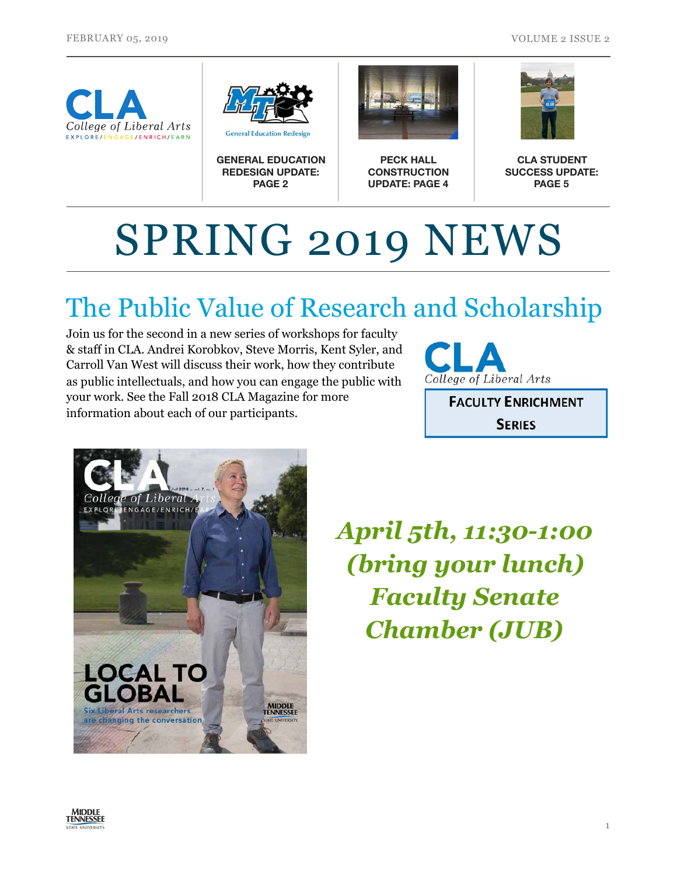



**GENERAL EDUCATION REDESIGN UPDATE: PAGE 2**



**PECK HALL CONSTRUCTION UPDATE: PAGE 4**



**CLA STUDENT SUCCESS UPDATE: PAGE 5**

# SPRING 2019 NEWS

# The Public Value of Research and Scholarship

Join us for the second in a new series of workshops for faculty & staff in CLA. Andrei Korobkov, Steve Morris, Kent Syler, and Carroll Van West will discuss their work, how they contribute as public intellectuals, and how you can engage the public with your work. See the Fall 2018 CLA Magazine for more information about each of our participants.



**FACULTY ENRICHMENT SERIES** 



*April 5th, 11:30-1:00 (bring your lunch) Faculty Senate Chamber (JUB)* 

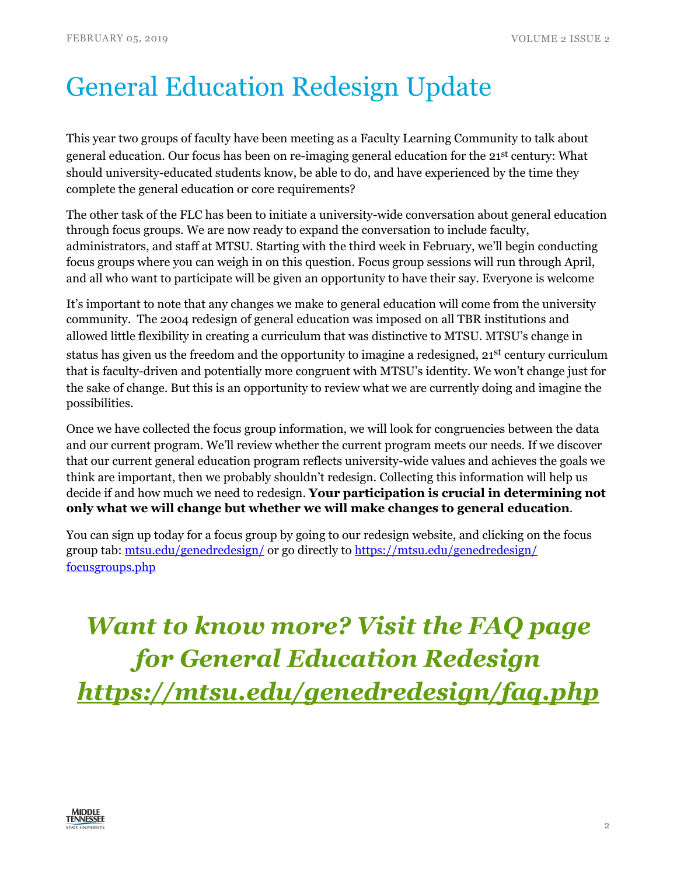# General Education Redesign Update

This year two groups of faculty have been meeting as a Faculty Learning Community to talk about general education. Our focus has been on re-imaging general education for the 21st century: What should university-educated students know, be able to do, and have experienced by the time they complete the general education or core requirements?

The other task of the FLC has been to initiate a university-wide conversation about general education through focus groups. We are now ready to expand the conversation to include faculty, administrators, and staff at MTSU. Starting with the third week in February, we'll begin conducting focus groups where you can weigh in on this question. Focus group sessions will run through April, and all who want to participate will be given an opportunity to have their say. Everyone is welcome

It's important to note that any changes we make to general education will come from the university community. The 2004 redesign of general education was imposed on all TBR institutions and allowed little flexibility in creating a curriculum that was distinctive to MTSU. MTSU's change in status has given us the freedom and the opportunity to imagine a redesigned, 21<sup>st</sup> century curriculum that is faculty-driven and potentially more congruent with MTSU's identity. We won't change just for the sake of change. But this is an opportunity to review what we are currently doing and imagine the possibilities.

Once we have collected the focus group information, we will look for congruencies between the data and our current program. We'll review whether the current program meets our needs. If we discover that our current general education program reflects university-wide values and achieves the goals we think are important, then we probably shouldn't redesign. Collecting this information will help us decide if and how much we need to redesign. **Your participation is crucial in determining not only what we will change but whether we will make changes to general education**.

You can sign up today for a focus group by going to our redesign website, and clicking on the focus group tab: [mtsu.edu/genedredesign/](https://mtsu.edu/genedredesign/) or go directly to [https://mtsu.edu/genedredesign/](https://mtsu.edu/genedredesign/focusgroups.php) [focusgroups.php](https://mtsu.edu/genedredesign/focusgroups.php)

*Want to know more? Visit the FAQ page for General Education Redesign <https://mtsu.edu/genedredesign/faq.php>*

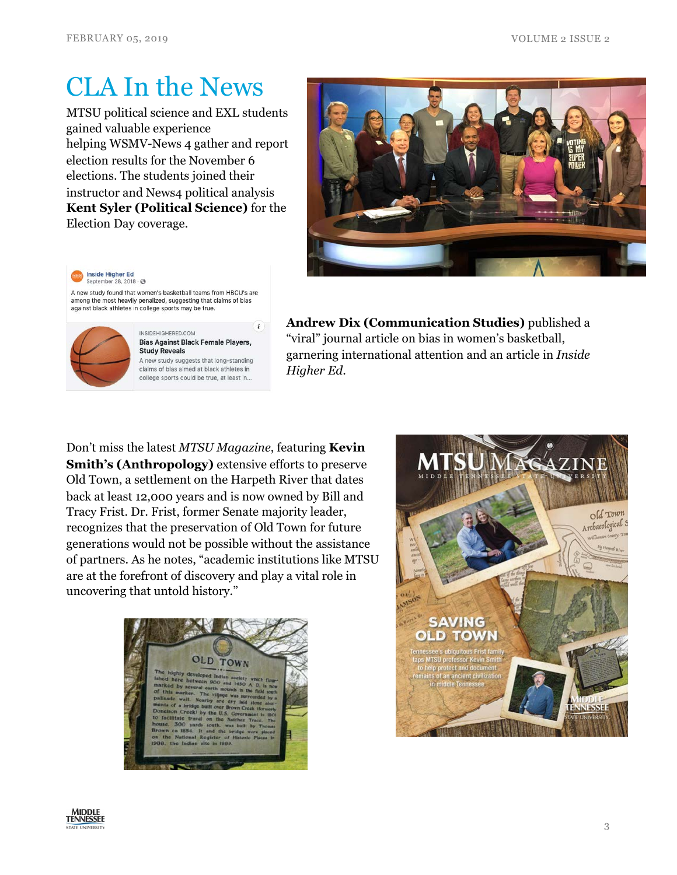#### CLA In the News

MTSU political science and EXL students gained valuable experience helping WSMV-News 4 gather and report election results for the November 6 elections. The students joined their instructor and News4 political analysis **Kent Syler (Political Science)** for the Election Day coverage.



**Inside Higher Ed** September 28, 2018 - 3

A new study found that women's basketball teams from HBCU's are among the most heavily penalized, suggesting that claims of bias against black athletes in college sports may be true.



INSIDEHIGHERED.COM **Bias Against Black Female Players, Study Reveals** A new study suggests that long-standing claims of bias aimed at black athletes in college sports could be true, at least in...

 $\mathbf{i}$ 

**Andrew Dix (Communication Studies)** published a "viral" journal article on bias in women's basketball, garnering international attention and an article in *Inside Higher Ed*.

Don't miss the latest *MTSU Magazine*, featuring **Kevin Smith's (Anthropology)** extensive efforts to preserve Old Town, a settlement on the Harpeth River that dates back at least 12,000 years and is now owned by Bill and Tracy Frist. Dr. Frist, former Senate majority leader, recognizes that the preservation of Old Town for future generations would not be possible without the assistance of partners. As he notes, "academic institutions like MTSU are at the forefront of discovery and play a vital role in uncovering that untold history."





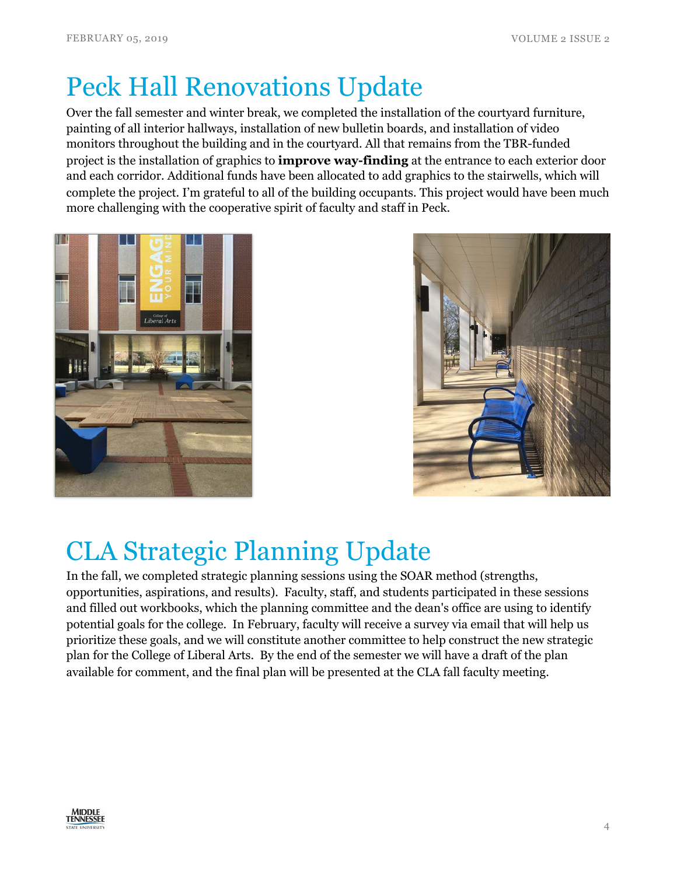## Peck Hall Renovations Update

Over the fall semester and winter break, we completed the installation of the courtyard furniture, painting of all interior hallways, installation of new bulletin boards, and installation of video monitors throughout the building and in the courtyard. All that remains from the TBR-funded project is the installation of graphics to **improve way-finding** at the entrance to each exterior door and each corridor. Additional funds have been allocated to add graphics to the stairwells, which will complete the project. I'm grateful to all of the building occupants. This project would have been much more challenging with the cooperative spirit of faculty and staff in Peck.





# CLA Strategic Planning Update

In the fall, we completed strategic planning sessions using the SOAR method (strengths, opportunities, aspirations, and results). Faculty, staff, and students participated in these sessions and filled out workbooks, which the planning committee and the dean's office are using to identify potential goals for the college. In February, faculty will receive a survey via email that will help us prioritize these goals, and we will constitute another committee to help construct the new strategic plan for the College of Liberal Arts. By the end of the semester we will have a draft of the plan available for comment, and the final plan will be presented at the CLA fall faculty meeting.

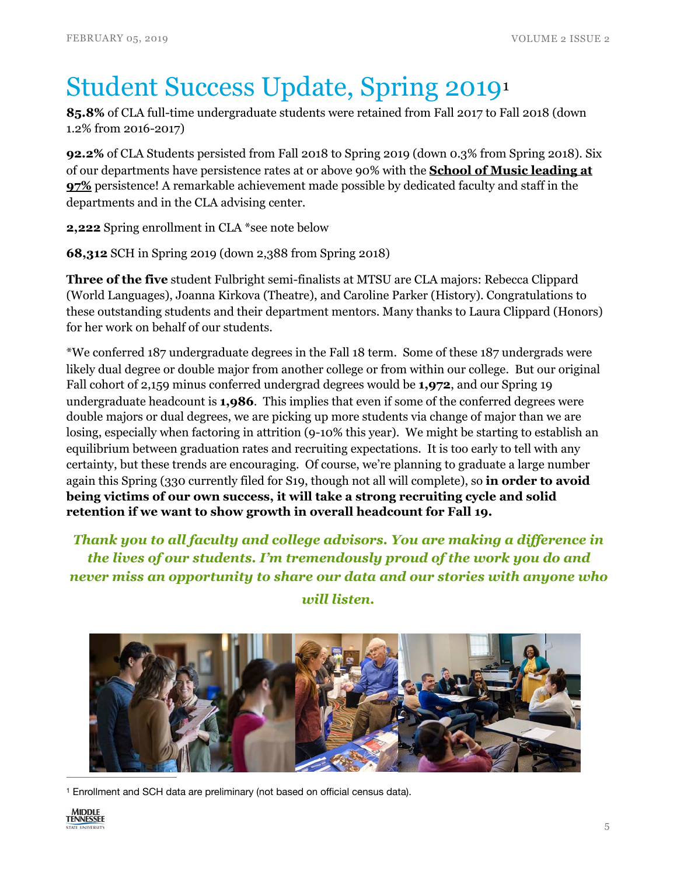# <span id="page-4-1"></span>Student Success Update, Spring 2019[1](#page-4-0)

**85.8%** of CLA full-time undergraduate students were retained from Fall 2017 to Fall 2018 (down 1.2% from 2016-2017)

**92.2%** of CLA Students persisted from Fall 2018 to Spring 2019 (down 0.3% from Spring 2018). Six of our departments have persistence rates at or above 90% with the **School of Music leading at 97%** persistence! A remarkable achievement made possible by dedicated faculty and staff in the departments and in the CLA advising center.

**2,222** Spring enrollment in CLA \*see note below

**68,312** SCH in Spring 2019 (down 2,388 from Spring 2018)

**Three of the five** student Fulbright semi-finalists at MTSU are CLA majors: Rebecca Clippard (World Languages), Joanna Kirkova (Theatre), and Caroline Parker (History). Congratulations to these outstanding students and their department mentors. Many thanks to Laura Clippard (Honors) for her work on behalf of our students.

\*We conferred 187 undergraduate degrees in the Fall 18 term. Some of these 187 undergrads were likely dual degree or double major from another college or from within our college. But our original Fall cohort of 2,159 minus conferred undergrad degrees would be **1,972**, and our Spring 19 undergraduate headcount is **1,986**. This implies that even if some of the conferred degrees were double majors or dual degrees, we are picking up more students via change of major than we are losing, especially when factoring in attrition (9-10% this year). We might be starting to establish an equilibrium between graduation rates and recruiting expectations. It is too early to tell with any certainty, but these trends are encouraging. Of course, we're planning to graduate a large number again this Spring (330 currently filed for S19, though not all will complete), so **in order to avoid being victims of our own success, it will take a strong recruiting cycle and solid retention if we want to show growth in overall headcount for Fall 19.** 

*Thank you to all faculty and college advisors. You are making a difference in the lives of our students. I'm tremendously proud of the work you do and never miss an opportunity to share our data and our stories with anyone who* 



#### *will listen.*

<span id="page-4-0"></span>Enrollment and SCH data are preliminary (not based on official census data). [1](#page-4-1)

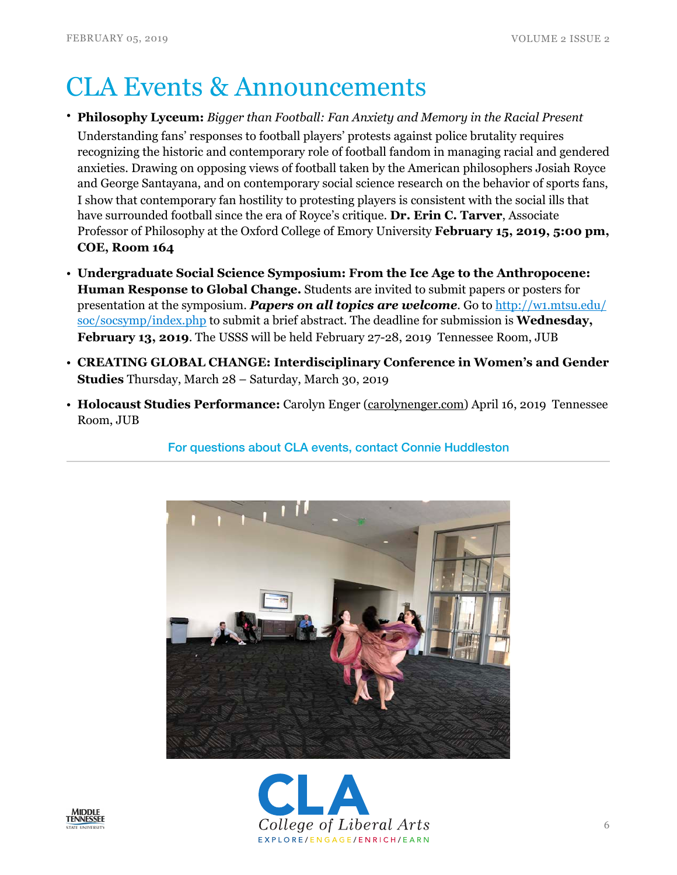### CLA Events & Announcements

- **Philosophy Lyceum:** *Bigger than Football: Fan Anxiety and Memory in the Racial Present* Understanding fans' responses to football players' protests against police brutality requires recognizing the historic and contemporary role of football fandom in managing racial and gendered anxieties. Drawing on opposing views of football taken by the American philosophers Josiah Royce and George Santayana, and on contemporary social science research on the behavior of sports fans, I show that contemporary fan hostility to protesting players is consistent with the social ills that have surrounded football since the era of Royce's critique. **Dr. Erin C. Tarver**, Associate Professor of Philosophy at the Oxford College of Emory University **February 15, 2019, 5:00 pm, COE, Room 164**
- **Undergraduate Social Science Symposium: From the Ice Age to the Anthropocene: Human Response to Global Change.** Students are invited to submit papers or posters for presentation at the symposium. *Papers on all topics are welcome*. Go to [http://w1.mtsu.edu/](http://w1.mtsu.edu/soc/socsymp/index.php) [soc/socsymp/index.php](http://w1.mtsu.edu/soc/socsymp/index.php) to submit a brief abstract. The deadline for submission is **Wednesday, February 13, 2019**. The USSS will be held February 27-28, 2019 Tennessee Room, JUB
- **CREATING GLOBAL CHANGE: Interdisciplinary Conference in Women's and Gender Studies** Thursday, March 28 – Saturday, March 30, 2019
- **Holocaust Studies Performance:** Carolyn Enger ([carolynenger.com\)](http://carolynenger.com) April 16, 2019 Tennessee Room, JUB

For questions about CLA events, contact Connie Huddleston